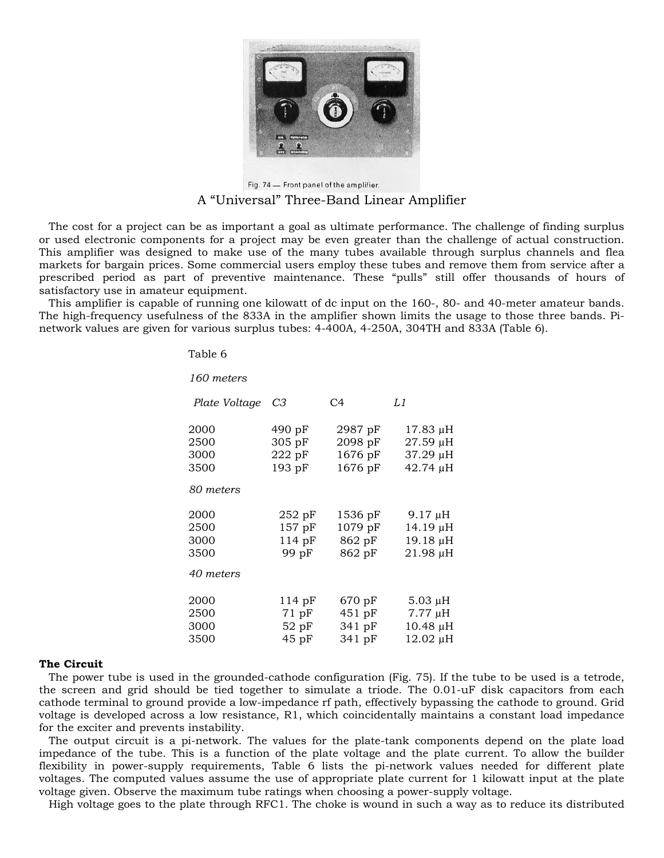

Fig. 74 - Front panel of the amplifier. A "Universal" Three-Band Linear Amplifier

The cost for a project can be as important a goal as ultimate performance. The challenge of finding surplus or used electronic components for a project may be even greater than the challenge of actual construction. This amplifier was designed to make use of the many tubes available through surplus channels and flea markets for bargain prices. Some commercial users employ these tubes and remove them from service after a prescribed period as part of preventive maintenance. These "pulls" still offer thousands of hours of satisfactory use in amateur equipment.

This amplifier is capable of running one kilowatt of dc input on the 160-, 80- and 40-meter amateur bands. The high-frequency usefulness of the 833A in the amplifier shown limits the usage to those three bands. Pinetwork values are given for various surplus tubes: 4-400A, 4-250A, 304TH and 833A (Table 6).

Table 6

| 160 meters                                |                                                   |                                            |                                                           |
|-------------------------------------------|---------------------------------------------------|--------------------------------------------|-----------------------------------------------------------|
| Plate Voltage C3                          |                                                   | C <sub>4</sub>                             | L1                                                        |
| 2000<br>2500<br>3000<br>3500              | $490 \text{ pF}$<br>$305$ pF<br>222pF<br>$193$ pF | 2987 pF<br>$2098$ pF<br>1676 pF<br>1676 pF | 17.83 µH<br>27.59 µH<br>37.29 µH<br>$42.74 \mu H$         |
| 80 meters                                 |                                                   |                                            |                                                           |
| 2000<br>2500<br>3000<br>3500<br>40 meters | $252$ pF<br>$157$ pF<br>114pF<br>99 pF            | 1536 pF<br>$1079$ pF<br>862 pF<br>862 pF   | 9.17 µH<br>14.19 μH<br>19.18 μH<br>21.98 µH               |
| 2000<br>2500<br>3000<br>3500              | 114pF<br>$71$ pF<br>$52$ pF<br>45pF               | 670 pF<br>451 pF<br>341 pF<br>341 pF       | $5.03 \mu H$<br>$7.77 \mu H$<br>$10.48 \mu H$<br>12.02 µH |

## **The Circuit**

The power tube is used in the grounded-cathode configuration (Fig. 75). If the tube to be used is a tetrode, the screen and grid should be tied together to simulate a triode. The 0.01-uF disk capacitors from each cathode terminal to ground provide a low-impedance rf path, effectively bypassing the cathode to ground. Grid voltage is developed across a low resistance, R1, which coincidentally maintains a constant load impedance for the exciter and prevents instability.

The output circuit is a pi-network. The values for the plate-tank components depend on the plate load impedance of the tube. This is a function of the plate voltage and the plate current. To allow the builder flexibility in power-supply requirements, Table 6 lists the pi-network values needed for different plate voltages. The computed values assume the use of appropriate plate current for 1 kilowatt input at the plate voltage given. Observe the maximum tube ratings when choosing a power-supply voltage.

High voltage goes to the plate through RFC1. The choke is wound in such a way as to reduce its distributed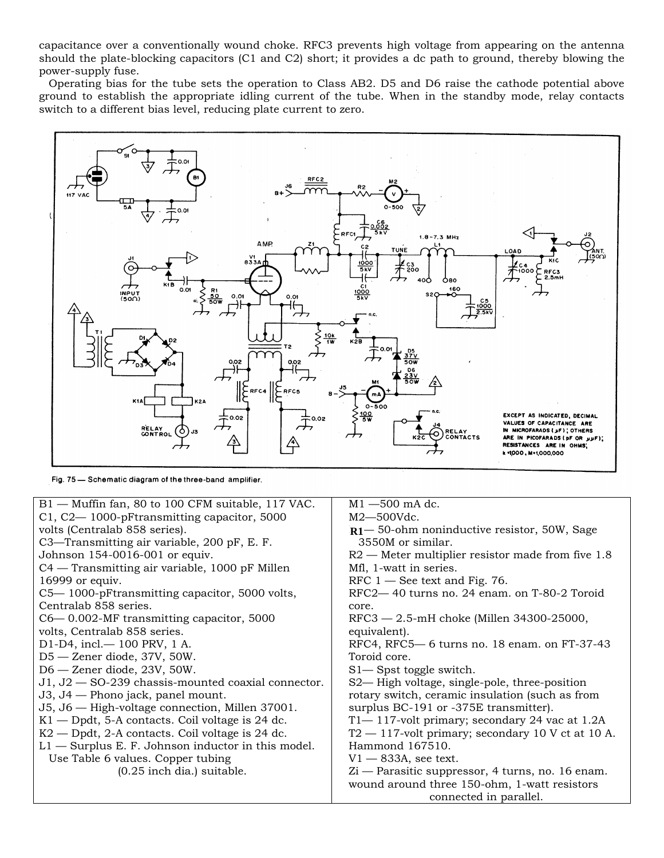capacitance over a conventionally wound choke. RFC3 prevents high voltage from appearing on the antenna should the plate-blocking capacitors (C1 and C2) short; it provides a dc path to ground, thereby blowing the power-supply fuse.

Operating bias for the tube sets the operation to Class AB2. D5 and D6 raise the cathode potential above ground to establish the appropriate idling current of the tube. When in the standby mode, relay contacts switch to a different bias level, reducing plate current to zero.



Fig. 75 - Schematic diagram of the three-band amplifier.

| B1 - Muffin fan, 80 to 100 CFM suitable, 117 VAC.    | $M1 - 500$ mA dc.                                    |  |
|------------------------------------------------------|------------------------------------------------------|--|
| C1, C2-1000-pFtransmitting capacitor, 5000           | $M2 - 500$ Vdc.                                      |  |
|                                                      |                                                      |  |
| volts (Centralab 858 series).                        | $R1 - 50$ -ohm noninductive resistor, 50W, Sage      |  |
| C3—Transmitting air variable, 200 pF, E. F.          | 3550M or similar.                                    |  |
| Johnson 154-0016-001 or equiv.                       | $R2$ — Meter multiplier resistor made from five 1.8  |  |
| C4 — Transmitting air variable, 1000 pF Millen       | Mfl, 1-watt in series.                               |  |
| 16999 or equiv.                                      | RFC $1$ — See text and Fig. 76.                      |  |
| C5-1000-pFtransmitting capacitor, 5000 volts,        | RFC2-40 turns no. 24 enam. on T-80-2 Toroid          |  |
| Centralab 858 series.                                | core.                                                |  |
| $C6$ — 0.002-MF transmitting capacitor, 5000         | RFC3 - 2.5-mH choke (Millen 34300-25000,             |  |
| volts, Centralab 858 series.                         | equivalent).                                         |  |
| D1-D4, incl. - 100 PRV, 1 A.                         | RFC4, RFC5-6 turns no. 18 enam. on FT-37-43          |  |
| D5 - Zener diode, 37V, 50W.                          | Toroid core.                                         |  |
| $D6 -$ Zener diode, 23V, 50W.                        | S1— Spst toggle switch.                              |  |
| $J1, J2 - SO-239$ chassis-mounted coaxial connector. | S2— High voltage, single-pole, three-position        |  |
| J3, J4 — Phono jack, panel mount.                    | rotary switch, ceramic insulation (such as from      |  |
| J5, J6 - High-voltage connection, Millen 37001.      | surplus BC-191 or -375E transmitter).                |  |
| $K1$ — Dpdt, 5-A contacts. Coil voltage is 24 dc.    | $T1 - 117$ -volt primary; secondary 24 vac at 1.2A   |  |
| $K2$ — Dpdt, 2-A contacts. Coil voltage is 24 dc.    | $T2 - 117$ -volt primary; secondary 10 V ct at 10 A. |  |
| $L1$ — Surplus E. F. Johnson inductor in this model. | Hammond 167510.                                      |  |
| Use Table 6 values. Copper tubing                    | $V1 - 833A$ , see text.                              |  |
| $(0.25$ inch dia.) suitable.                         | Zi — Parasitic suppressor, 4 turns, no. 16 enam.     |  |
|                                                      | wound around three 150-ohm, 1-watt resistors         |  |
|                                                      | connected in parallel.                               |  |